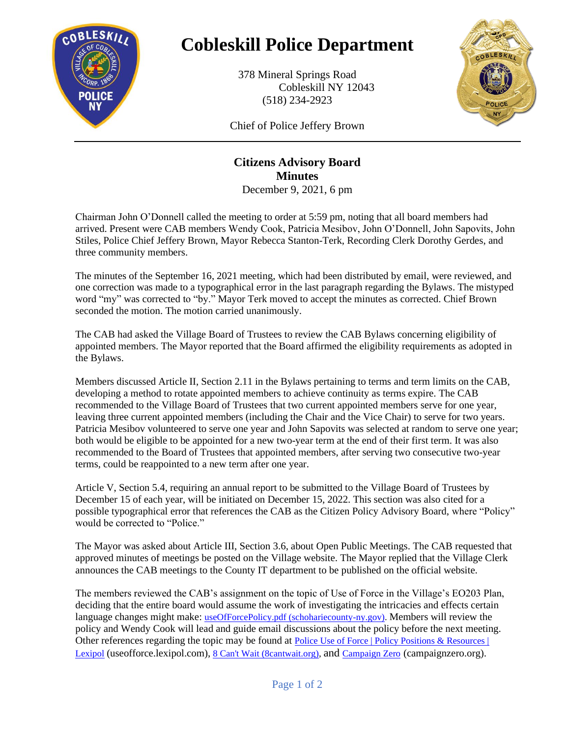

## **Cobleskill Police Department**

378 Mineral Springs Road Cobleskill NY 12043 (518) 234-2923



Chief of Police Jeffery Brown

## **Citizens Advisory Board Minutes**

December 9, 2021, 6 pm

Chairman John O'Donnell called the meeting to order at 5:59 pm, noting that all board members had arrived. Present were CAB members Wendy Cook, Patricia Mesibov, John O'Donnell, John Sapovits, John Stiles, Police Chief Jeffery Brown, Mayor Rebecca Stanton-Terk, Recording Clerk Dorothy Gerdes, and three community members.

The minutes of the September 16, 2021 meeting, which had been distributed by email, were reviewed, and one correction was made to a typographical error in the last paragraph regarding the Bylaws. The mistyped word "my" was corrected to "by." Mayor Terk moved to accept the minutes as corrected. Chief Brown seconded the motion. The motion carried unanimously.

The CAB had asked the Village Board of Trustees to review the CAB Bylaws concerning eligibility of appointed members. The Mayor reported that the Board affirmed the eligibility requirements as adopted in the Bylaws.

Members discussed Article II, Section 2.11 in the Bylaws pertaining to terms and term limits on the CAB, developing a method to rotate appointed members to achieve continuity as terms expire. The CAB recommended to the Village Board of Trustees that two current appointed members serve for one year, leaving three current appointed members (including the Chair and the Vice Chair) to serve for two years. Patricia Mesibov volunteered to serve one year and John Sapovits was selected at random to serve one year; both would be eligible to be appointed for a new two-year term at the end of their first term. It was also recommended to the Board of Trustees that appointed members, after serving two consecutive two-year terms, could be reappointed to a new term after one year.

Article V, Section 5.4, requiring an annual report to be submitted to the Village Board of Trustees by December 15 of each year, will be initiated on December 15, 2022. This section was also cited for a possible typographical error that references the CAB as the Citizen Policy Advisory Board, where "Policy" would be corrected to "Police."

The Mayor was asked about Article III, Section 3.6, about Open Public Meetings. The CAB requested that approved minutes of meetings be posted on the Village website. The Mayor replied that the Village Clerk announces the CAB meetings to the County IT department to be published on the official website.

The members reviewed the CAB's assignment on the topic of Use of Force in the Village's EO203 Plan, deciding that the entire board would assume the work of investigating the intricacies and effects certain language changes might make: [useOfForcePolicy.pdf \(schohariecounty-ny.gov\).](https://www4.schohariecounty-ny.gov/PdfFiles/VCOB/police/useOfForcePolicy.pdf) Members will review the policy and Wendy Cook will lead and guide email discussions about the policy before the next meeting. Other references regarding the topic may be found at [Police Use of Force | Policy Positions & Resources |](https://useofforce.lexipol.com/)  [Lexipol](https://useofforce.lexipol.com/) (useofforce.lexipol.com), [8 Can't Wait \(8cantwait.org\),](https://8cantwait.org/) and [Campaign Zero](https://campaignzero.org/) (campaignzero.org).